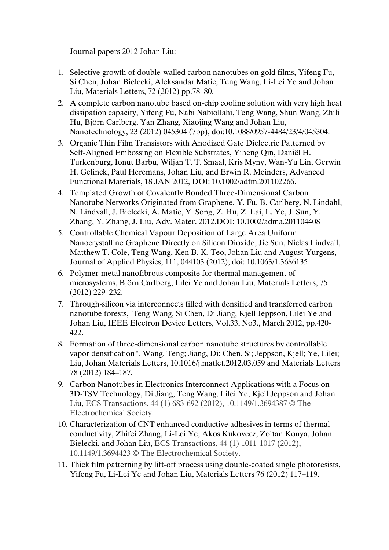Journal papers 2012 Johan Liu:

- 1. Selective growth of double-walled carbon nanotubes on gold films, Yifeng Fu, Si Chen, Johan Bielecki, Aleksandar Matic, Teng Wang, Li-Lei Ye and Johan Liu, Materials Letters, 72 (2012) pp.78–80.
- 2. A complete carbon nanotube based on-chip cooling solution with very high heat dissipation capacity, Yifeng Fu, Nabi Nabiollahi, Teng Wang, Shun Wang, Zhili Hu, Björn Carlberg, Yan Zhang, Xiaojing Wang and Johan Liu, Nanotechnology, 23 (2012) 045304 (7pp), doi:10.1088/0957-4484/23/4/045304.
- 3. Organic Thin Film Transistors with Anodized Gate Dielectric Patterned by Self-Aligned Embossing on Flexible Substrates, Yiheng Qin, Daniël H. Turkenburg, Ionut Barbu, Wiljan T. T. Smaal, Kris Myny, Wan-Yu Lin, Gerwin H. Gelinck, Paul Heremans, Johan Liu, and Erwin R. Meinders, Advanced Functional Materials, 18 JAN 2012, DOI: 10.1002/adfm.201102266.
- 4. Templated Growth of Covalently Bonded Three-Dimensional Carbon Nanotube Networks Originated from Graphene, Y. Fu, B. Carlberg, N. Lindahl, N. Lindvall, J. Bielecki, A. Matic, Y. Song, Z. Hu, Z. Lai, L. Ye, J. Sun, Y. Zhang, Y. Zhang, J. Liu, Adv. Mater. 2012,DOI: 10.1002/adma.201104408
- 5. Controllable Chemical Vapour Deposition of Large Area Uniform Nanocrystalline Graphene Directly on Silicon Dioxide, Jie Sun, Niclas Lindvall, Matthew T. Cole, Teng Wang, Ken B. K. Teo, Johan Liu and August Yurgens, Journal of Applied Physics, 111, 044103 (2012); doi: 10.1063/1.3686135
- 6. Polymer-metal nanofibrous composite for thermal management of microsystems, Björn Carlberg, Lilei Ye and Johan Liu, Materials Letters, 75 (2012) 229–232.
- 7. Through-silicon via interconnects filled with densified and transferred carbon nanotube forests, Teng Wang, Si Chen, Di Jiang, Kjell Jeppson, Lilei Ye and Johan Liu, IEEE Electron Device Letters, Vol.33, No3., March 2012, pp.420- 422.
- 8. Formation of three-dimensional carbon nanotube structures by controllable vapor densification", Wang, Teng; Jiang, Di; Chen, Si; Jeppson, Kjell; Ye, Lilei; Liu, Johan Materials Letters, 10.1016/j.matlet.2012.03.059 and Materials Letters 78 (2012) 184–187.
- 9. Carbon Nanotubes in Electronics Interconnect Applications with a Focus on 3D-TSV Technology, Di Jiang, Teng Wang, Lilei Ye, Kjell Jeppson and Johan Liu, ECS Transactions, 44 (1) 683-692 (2012), 10.1149/1.3694387 © The Electrochemical Society.
- 10. Characterization of CNT enhanced conductive adhesives in terms of thermal conductivity, Zhifei Zhang, Li-Lei Ye, Akos Kukovecz, Zoltan Konya, Johan Bielecki, and Johan Liu, ECS Transactions, 44 (1) 1011-1017 (2012), 10.1149/1.3694423 © The Electrochemical Society.
- 11. Thick film patterning by lift-off process using double-coated single photoresists, Yifeng Fu, Li-Lei Ye and Johan Liu, Materials Letters 76 (2012) 117–119.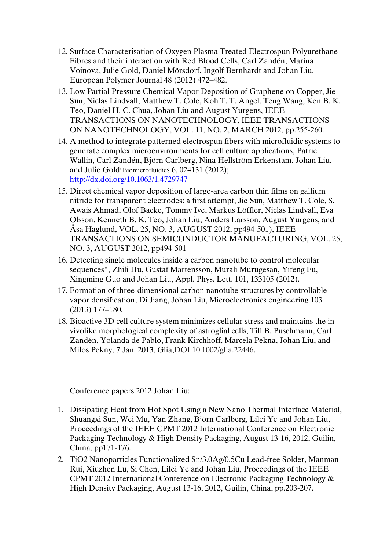- 12. Surface Characterisation of Oxygen Plasma Treated Electrospun Polyurethane Fibres and their interaction with Red Blood Cells, Carl Zandén, Marina Voinova, Julie Gold, Daniel Mörsdorf, Ingolf Bernhardt and Johan Liu, European Polymer Journal 48 (2012) 472–482.
- 13. Low Partial Pressure Chemical Vapor Deposition of Graphene on Copper, Jie Sun, Niclas Lindvall, Matthew T. Cole, Koh T. T. Angel, Teng Wang, Ken B. K. Teo, Daniel H. C. Chua, Johan Liu and August Yurgens, IEEE TRANSACTIONS ON NANOTECHNOLOGY, IEEE TRANSACTIONS ON NANOTECHNOLOGY, VOL. 11, NO. 2, MARCH 2012, pp.255-260.
- 14. A method to integrate patterned electrospun fibers with microfluidic systems to generate complex microenvironments for cell culture applications, Patric Wallin, Carl Zandén, Björn Carlberg, Nina Hellström Erkenstam, Johan Liu, and Julie Gold Biomicrofluidics 6, 024131 (2012); [http://dx.doi.org/10.1063/1.4729747](http://link.aip.org/link/doi/10.1063/1.4729747)
- 15. Direct chemical vapor deposition of large-area carbon thin films on gallium nitride for transparent electrodes: a first attempt, Jie Sun, Matthew T. Cole, S. Awais Ahmad, Olof Backe, Tommy Ive, Markus Löffler, Niclas Lindvall, Eva Olsson, Kenneth B. K. Teo, Johan Liu, Anders Larsson, August Yurgens, and Åsa Haglund, VOL. 25, NO. 3, AUGUST 2012, pp494-501), IEEE TRANSACTIONS ON SEMICONDUCTOR MANUFACTURING, VOL. 25, NO. 3, AUGUST 2012, pp494-501
- 16. Detecting single molecules inside a carbon nanotube to control molecular sequences", Zhili Hu, Gustaf Martensson, Murali Murugesan, Yifeng Fu, Xingming Guo and Johan Liu, Appl. Phys. Lett. 101, 133105 (2012).
- 17. Formation of three-dimensional carbon nanotube structures by controllable vapor densification, Di Jiang, Johan Liu, Microelectronics engineering 103 (2013) 177–180.
- 18. Bioactive 3D cell culture system minimizes cellular stress and maintains the in vivolike morphological complexity of astroglial cells, Till B. Puschmann, Carl Zandén, Yolanda de Pablo, Frank Kirchhoff, Marcela Pekna, Johan Liu, and Milos Pekny, 7 Jan. 2013, Glia,DOI 10.1002/glia.22446.

Conference papers 2012 Johan Liu:

- 1. Dissipating Heat from Hot Spot Using a New Nano Thermal Interface Material, Shuangxi Sun, Wei Mu, Yan Zhang, Björn Carlberg, Lilei Ye and Johan Liu, Proceedings of the IEEE CPMT 2012 International Conference on Electronic Packaging Technology & High Density Packaging, August 13-16, 2012, Guilin, China, pp171-176.
- 2. TiO2 Nanoparticles Functionalized Sn/3.0Ag/0.5Cu Lead-free Solder, Manman Rui, Xiuzhen Lu, Si Chen, Lilei Ye and Johan Liu, Proceedings of the IEEE CPMT 2012 International Conference on Electronic Packaging Technology & High Density Packaging, August 13-16, 2012, Guilin, China, pp.203-207.